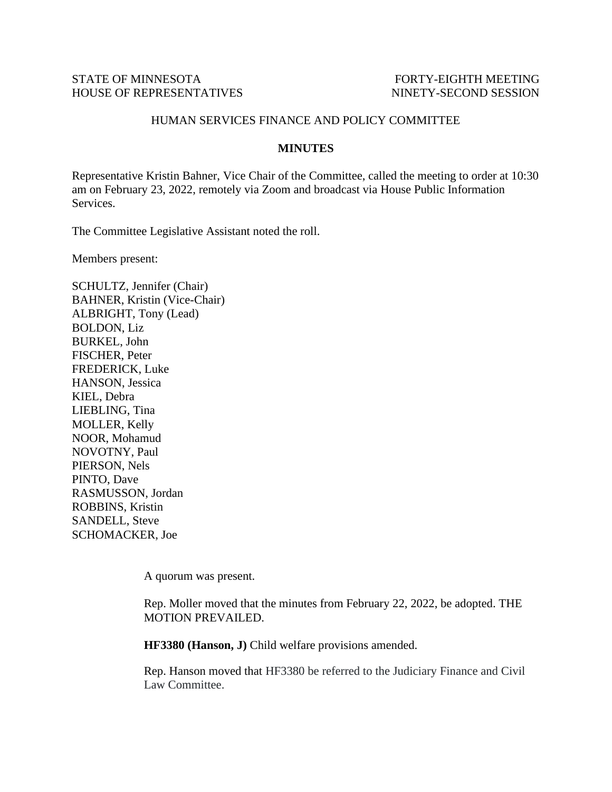## STATE OF MINNESOTA FORTY-EIGHTH MEETING HOUSE OF REPRESENTATIVES NINETY-SECOND SESSION

## HUMAN SERVICES FINANCE AND POLICY COMMITTEE

## **MINUTES**

Representative Kristin Bahner, Vice Chair of the Committee, called the meeting to order at 10:30 am on February 23, 2022, remotely via Zoom and broadcast via House Public Information Services.

The Committee Legislative Assistant noted the roll.

Members present:

SCHULTZ, Jennifer (Chair) BAHNER, Kristin (Vice-Chair) ALBRIGHT, Tony (Lead) BOLDON, Liz BURKEL, John FISCHER, Peter FREDERICK, Luke HANSON, Jessica KIEL, Debra LIEBLING, Tina MOLLER, Kelly NOOR, Mohamud NOVOTNY, Paul PIERSON, Nels PINTO, Dave RASMUSSON, Jordan ROBBINS, Kristin SANDELL, Steve SCHOMACKER, Joe

A quorum was present.

Rep. Moller moved that the minutes from February 22, 2022, be adopted. THE MOTION PREVAILED.

**HF3380 (Hanson, J)** Child welfare provisions amended.

Rep. Hanson moved that HF3380 be referred to the Judiciary Finance and Civil Law Committee.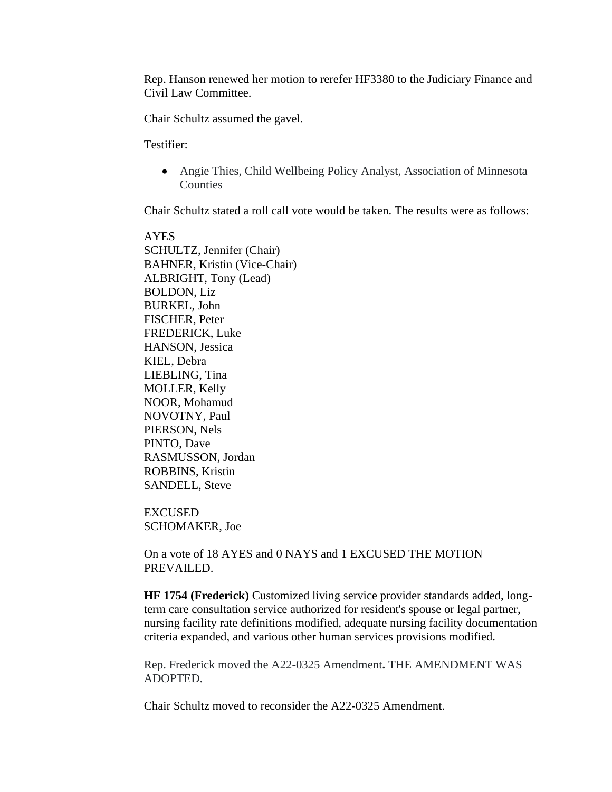Rep. Hanson renewed her motion to rerefer HF3380 to the Judiciary Finance and Civil Law Committee.

Chair Schultz assumed the gavel.

Testifier:

• Angie Thies, Child Wellbeing Policy Analyst, Association of Minnesota **Counties** 

Chair Schultz stated a roll call vote would be taken. The results were as follows:

AYES SCHULTZ, Jennifer (Chair) BAHNER, Kristin (Vice-Chair) ALBRIGHT, Tony (Lead) BOLDON, Liz BURKEL, John FISCHER, Peter FREDERICK, Luke HANSON, Jessica KIEL, Debra LIEBLING, Tina MOLLER, Kelly NOOR, Mohamud NOVOTNY, Paul PIERSON, Nels PINTO, Dave RASMUSSON, Jordan ROBBINS, Kristin SANDELL, Steve

EXCUSED SCHOMAKER, Joe

On a vote of 18 AYES and 0 NAYS and 1 EXCUSED THE MOTION PREVAILED.

**HF 1754 (Frederick)** Customized living service provider standards added, longterm care consultation service authorized for resident's spouse or legal partner, nursing facility rate definitions modified, adequate nursing facility documentation criteria expanded, and various other human services provisions modified.

Rep. Frederick moved the A22-0325 Amendment**.** THE AMENDMENT WAS ADOPTED.

Chair Schultz moved to reconsider the A22-0325 Amendment.